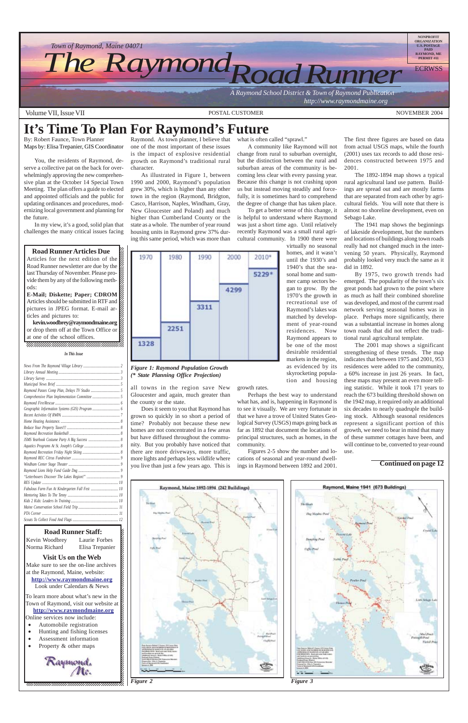



Articles for the next edition of the  $\mathbb Z$  $1235678901234567890123456789012345678901234567890123456789012345678901234567890123456789012345678901234567890123456789012345678901234567890123456789012345678901234567890123456789012345678901234567890123456789012345678901$ Road Runner newsletter are due by the  $\mathcal{Z}$ last Thursday of November. Please pro-12345678901234567890123456789012123456789012345678 vide them by any of the following meth- $\mathcal{Z}$  $1235678901234587890123456789012345678901234567890123456789012345678901234567890123456789012345678901234567890123456789012345678901234567890123456789012345678901234567890123456789012345678901234567890123456789012345678901$ ods:  $\mathscr{C}_1$ 12345678901234567890123456789012123456789012345678

**E-Mail; Diskette; Paper; CDROM** Articles should be submitted in RTF and  $\mathbb Z$ pictures in JPEG format. E-mail ar- $\mathbb Z$  $12$ ticles and pictures to:  $\mathscr{L}$ 

kevin.woodbrey@raymondmaine.org 12345678901234567890123456789012123456789012345678 or drop them off at the Town Office or  $\mathscr{L}$ at one of the school offices. 12345678901234567890123456789012123456789012345678 12345678901234567890123456789012123456789012345678

By: Robert Faunce, Town Planner Maps by: Elisa Trepanier, GIS Coordinator

You, the residents of Raymond, deserve a collective pat on the back for overwhelmingly approving the new comprehensive plan at the October 14 Special Town Meeting. The plan offers a guide to elected and appointed officials and the public for updating ordinances and procedures, modernizing local government and planning for the future.

In my view, it's a good, solid plan that challenges the many critical issues facing

12345678901234567890123456789012345678901234567890123456789012345678901234567890123456789012345678901234567890

### **Road Runner Articles Due**

Raymond. As town planner, I believe that one of the most important of these issues is the impact of explosive residential growth on Raymond's traditional rural character.

### **It's Time To Plan For Raymond's Future** what is often called "sprawl."

As illustrated in Figure 1, between 1990 and 2000, Raymond's population grew 30%, which is higher than any other town in the region (Raymond, Bridgton, Casco, Harrison, Naples, Windham, Gray, New Gloucester and Poland) and much higher than Cumberland County or the state as a whole. The number of year round housing units in Raymond grew 37% during this same period, which was more than



all towns in the region save New Gloucester and again, much greater than the county or the state.

Does it seem to you that Raymond has grown so quickly in so short a period of time? Probably not because these new homes are not concentrated in a few areas but have diffused throughout the community. But you probably have noticed that there are more driveways, more traffic, more lights and perhaps less wildlife where you live than just a few years ago. This is

A community like Raymond will not change from rural to suburban overnight, but the distinction between the rural and suburban areas of the community is becoming less clear with every passing year. Because this change is not crashing upon us but instead moving steadily and forcefully, it is sometimes hard to comprehend the degree of change that has taken place. To get a better sense of this change, it is helpful to understand where Raymond was just a short time ago. Until relatively recently Raymond was a small rural agricultural community. In 1900 there were

#### 12345678901234567890123456789012123456789012345678 12345678901234567890123456789012123456789012345678 *In This Issue*

virtually no seasonal homes, and it wasn't until the 1930's and 1940's that the seasonal home and summer camp sectors began to grow. By the 1970's the growth in

recreational use of Raymond's lakes was matched by development of year-round

> residences. Now Raymond appears to be one of the most desirable residential markets in the region, as evidenced by its skyrocketing population and housing

growth rates.

Perhaps the best way to understand what has, and is, happening in Raymond is to see it visually. We are very fortunate in that we have a trove of United States Geological Survey (USGS) maps going back as far as 1892 that document the locations of principal structures, such as homes, in the community.

Figures 2-5 show the number and locations of seasonal and year-round dwellings in Raymond between 1892 and 2001.



The 1892-1894 map shows a typical rural agricultural land use pattern. Buildings are spread out and are mostly farms that are separated from each other by agricultural fields. You will note that there is almost no shoreline development, even on Sebago Lake.

The 1941 map shows the beginnings of lakeside development, but the numbers and locations of buildings along town roads really had not changed much in the intervening 50 years. Physically, Raymond probably looked very much the same as it did in 1892.

By 1975, two growth trends had emerged. The popularity of the town's six great ponds had grown to the point where as much as half their combined shoreline was developed, and most of the current road network serving seasonal homes was in place. Perhaps more significantly, there was a substantial increase in homes along town roads that did not reflect the traditional rural agricultural template.

The 2001 map shows a significant strengthening of these trends. The map indicates that between 1975 and 2001, 953 residences were added to the community, a 60% increase in just 26 years. In fact, these maps may present an even more telling statistic. While it took 171 years to reach the 673 building threshold shown on the 1942 map, it required only an additional six decades to nearly quadruple the building stock. Although seasonal residences represent a significant portion of this growth, we need to bear in mind that many of these summer cottages have been, and will continue to be, converted to year-round use.

#### *Figure 1: Raymond Population Growth (\* State Planning Office Projection)*

**Continued on page 12**





| Fabulous Farm Fun At Kindergarten Fall Fest  10 |  |
|-------------------------------------------------|--|
|                                                 |  |
|                                                 |  |
|                                                 |  |
|                                                 |  |
|                                                 |  |
|                                                 |  |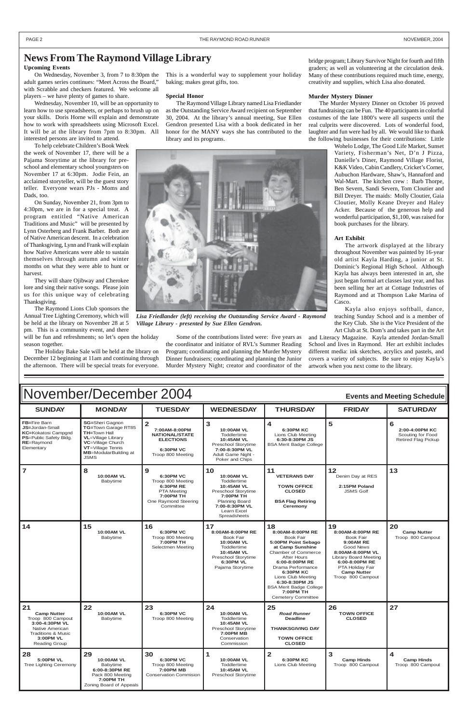| November/December 2004<br><b>Events and Meeting Schedule</b>                                                                                             |                                                                                                                                                                                       |                                                                                                                                        |                                                                                                                                                             |                                                                                                                                                                                                                                                                                                                          |                                                                                                                                                                                                           |                                                                        |  |
|----------------------------------------------------------------------------------------------------------------------------------------------------------|---------------------------------------------------------------------------------------------------------------------------------------------------------------------------------------|----------------------------------------------------------------------------------------------------------------------------------------|-------------------------------------------------------------------------------------------------------------------------------------------------------------|--------------------------------------------------------------------------------------------------------------------------------------------------------------------------------------------------------------------------------------------------------------------------------------------------------------------------|-----------------------------------------------------------------------------------------------------------------------------------------------------------------------------------------------------------|------------------------------------------------------------------------|--|
| <b>SUNDAY</b>                                                                                                                                            | <b>MONDAY</b>                                                                                                                                                                         | <b>TUESDAY</b>                                                                                                                         | <b>WEDNESDAY</b>                                                                                                                                            | <b>THURSDAY</b>                                                                                                                                                                                                                                                                                                          | <b>FRIDAY</b>                                                                                                                                                                                             | <b>SATURDAY</b>                                                        |  |
| FB=Fire Barn<br>JS=Jordan-Small<br>KC=Kokatosi Campgnd<br>PS=Public Safety Bldg.<br>RE=Raymond<br>Elementary                                             | SG=Sheri Gagnon<br>TG=Town Garage RT85<br><b>TH=Town Hall</b><br><b>VL</b> =Village Library<br>VC=Village Church<br>VT=Village Tennis<br><b>MB</b> =ModularBuilding at<br><b>JSMS</b> | $\overline{\mathbf{2}}$<br>7:00AM-8:00PM<br><b>NATIONAL/STATE</b><br><b>ELECTIONS</b><br><b>6:30PM VC</b><br>Troop 800 Meeting         | $\mathbf{3}$<br>10:00AM VL<br>Toddlertime<br>10:45AM VL<br>Preschool Storytime<br>7:00-8:30PM VL<br>Adult Game Night -<br>Poker and Chips                   | 4<br><b>6:30PM KC</b><br>Lions Club Meeting<br>6:30-8:30PM JS<br><b>BSA Merit Badge College</b>                                                                                                                                                                                                                          | 5                                                                                                                                                                                                         | 6<br>2:00-4:00PM KC<br>Scouting for Food<br><b>Retired Flag Pickup</b> |  |
| $\overline{7}$                                                                                                                                           | 8<br>10:00AM VL<br>Babytime                                                                                                                                                           | 9<br><b>6:30PM VC</b><br>Troop 800 Meeting<br>6:30PM RE<br><b>PTA Meeting</b><br><b>7:00PM TH</b><br>One Raymond Steering<br>Committee | 10<br>10:00AM VL<br>Toddlertime<br>10:45AM VL<br>Preschool Storytime<br>7:00PM TH<br><b>Planning Board</b><br>7:00-8:30PM VL<br>Learn Excel<br>Spreadsheets | 11<br><b>VETERANS DAY</b><br><b>TOWN OFFICE</b><br><b>CLOSED</b><br><b>BSA Flag Retiring</b><br>Ceremony                                                                                                                                                                                                                 | 12<br>Denim Day at RES<br>2:15PM Poland<br><b>JSMS Golf</b>                                                                                                                                               | 13                                                                     |  |
| 14                                                                                                                                                       | 15<br>10:00AM VL<br>Babytime                                                                                                                                                          | 16<br><b>6:30PM VC</b><br>Troop 800 Meeting<br>7:00PM TH<br>Selectmen Meeting                                                          | 17<br>8:00AM-8:00PM RE<br><b>Book Fair</b><br><b>10:00AM VL</b><br>Toddlertime<br>10:45AM VL<br>Preschool Storytime<br>6:30PM VL<br>Pajama Storytime        | 18<br>8:00AM-8:00PM RE<br><b>Book Fair</b><br>5:00PM Point Sebago<br>at Camp Sunshine<br><b>Chamber of Commerce</b><br><b>After Hours</b><br>6:00-8:00PM RE<br>Drama Performance<br><b>6:30PM KC</b><br>Lions Club Meeting<br>6:30-8:30PM JS<br><b>BSA Merit Badge College</b><br>7:00PM TH<br><b>Cemetery Committee</b> | 19<br>8:00AM-8:00PM RE<br><b>Book Fair</b><br>9:00AM RE<br>Good News<br>8:00AM-8:00PM VL<br><b>Library Board Meeting</b><br>6:00-8:00PM RE<br>PTA Holiday Fair<br><b>Camp Nutter</b><br>Troop 800 Campout | 20<br><b>Camp Nutter</b><br>Troop 800 Campout                          |  |
| 21<br><b>Camp Nutter</b><br>Troop 800 Campout<br>3:00-4:30PM VL<br>Native American<br><b>Traditions &amp; Music</b><br>3:00PM VL<br><b>Reading Group</b> | 22<br><b>10:00AM VL</b><br>Babytime                                                                                                                                                   | 23<br>6:30PM VC<br>Troop 800 Meeting                                                                                                   | 24<br><b>10:00AM VL</b><br>Toddlertime<br>10:45AM VL<br>Preschool Storytime<br><b>7:00PM MB</b><br>Conservation<br>Commission                               | 25<br><b>Road Runner</b><br><b>Deadline</b><br><b>THANKSGIVING DAY</b><br><b>TOWN OFFICE</b><br><b>CLOSED</b>                                                                                                                                                                                                            | 26<br><b>TOWN OFFICE</b><br><b>CLOSED</b>                                                                                                                                                                 | 27                                                                     |  |
| 28<br>5:00PM VL<br><b>Tree Lighting Ceremony</b>                                                                                                         | 29<br>10:00AM VL<br>Babytime<br>6:00-8:30PM RE<br>Pack 800 Meeting<br>7:00PM TH<br>Zoning Board of Appeals                                                                            | 30<br><b>6:30PM VC</b><br>Troop 800 Meeting<br><b>7:00PM MB</b><br><b>Conservation Commision</b>                                       | $\blacktriangleleft$<br><b>10:00AM VL</b><br>Toddlertime<br>10:45AM VL<br>Preschool Storytime                                                               | $\overline{2}$<br><b>6:30PM KC</b><br>Lions Club Meeting                                                                                                                                                                                                                                                                 | 3<br><b>Camp Hinds</b><br>Troop 800 Campout                                                                                                                                                               | 4<br><b>Camp Hinds</b><br>Troop 800 Campout                            |  |

#### **Upcoming Events**

On Wednesday, November 3, from 7 to 8:30pm the adult games series continues: "Meet Across the Board," with Scrabble and checkers featured. We welcome all players – we have plenty of games to share.

Wednesday, November 10, will be an opportunity to learn how to use spreadsheets, or perhaps to brush up on your skills. Doris Horne will explain and demonstrate how to work with spreadsheets using Microsoft Excel. It will be at the library from 7pm to 8:30pm. All interested persons are invited to attend.

To help celebrate Children's Book Week the week of November 17, there will be a Pajama Storytime at the library for preschool and elementary school youngsters on November 17 at 6:30pm. Jodie Fein, an acclaimed storyteller, will be the guest story teller. Everyone wears PJs - Moms and Dads, too.

On Sunday, November 21, from 3pm to 4:30pm, we are in for a special treat. A program entitled "Native American Traditions and Music" will be presented by Lynn Osterberg and Frank Barber. Both are of Native American descent. In a celebration of Thanksgiving, Lynn and Frank will explain how Native Americans were able to sustain themselves through autumn and winter months on what they were able to hunt or harvest.

They will share Ojibway and Cherokee lore and sing their native songs. Please join us for this unique way of celebrating Thanksgiving.

The Raymond Lions Club sponsors the Annual Tree Lighting Ceremony, which will be held at the library on November 28 at 5 pm. This is a community event, and there

will be fun and refreshments; so let's open the holiday season together.

The Holiday Bake Sale will be held at the library on December 12 beginning at 11am and continuing through the afternoon. There will be special treats for everyone.

This is a wonderful way to supplement your holiday baking; makes great gifts, too.

#### **Special Honor**

The Raymond Village Library named Lisa Friedlander as the Outstanding Service Award recipient on September 30, 2004. At the library's annual meeting, Sue Ellen Gendron presented Lisa with a book dedicated in her honor for the MANY ways she has contributed to the library and its programs.

Some of the contributions listed were: five years as the coordinator and initiator of RVL's Summer Reading Program; coordinating and planning the Murder Mystery Dinner fundraisers; coordinating and planning the Junior Murder Mystery Night; creator and coordinator of the

bridge program; Library Survivor Night for fourth and fifth graders; as well as volunteering at the circulation desk. Many of these contributions required much time, energy, creativity and supplies, which Lisa also donated.

#### **Murder Mystery Dinner**

The Murder Mystery Dinner on October 16 proved that fundraising can be Fun. The 40 participants in colorful costumes of the late 1800's were all suspects until the real culprits were discovered. Lots of wonderful food, laughter and fun were had by all. We would like to thank the following businesses for their contributions: Little

> Wohelo Lodge, The Good Life Market, Sunset Variety, Fisherman's Net, D'n J Pizza, Danielle's Diner, Raymond Village Florist, K&K Video, Cabin Candlery, Cricket's Corner, Aubuchon Hardware, Shaw's, Hannaford and Wal-Mart. The kitchen crew : Barb Thorpe, Ben Severn, Sandi Severn, Tom Cloutier and Bill Dreyer. The maids: Molly Cloutier, Gaia Cloutier, Molly Keane Dreyer and Haley Acker. Because of the generous help and wonderful participation, \$1,100, was raised for book purchases for the library.

#### **Art Exhibit**

The artwork displayed at the library throughout November was painted by 16-year old artist Kayla Harding, a junior at St. Dominic's Regional High School. Although Kayla has always been interested in art, she just began formal art classes last year, and has been selling her art at Cottage Industries of Raymond and at Thompson Lake Marina of Casco.

Kayla also enjoys softball, dance, teaching Sunday School and is a member of the Key Club. She is the Vice President of the Art Club at St. Dom's and takes part in the Art

and Literacy Magazine. Kayla attended Jordan-Small School and lives in Raymond. Her art exhibit includes different media: ink sketches, acrylics and pastels, and covers a variety of subjects. Be sure to enjoy Kayla's artwork when you next come to the library.



*Lisa Friedlander (left) receiving the Outstanding Service Award - Raymond Village Library - presented by Sue Ellen Gendron.*

PAGE 2 THE RAYMOND ROAD RUNNER NOVEMBER, 2004

### **News From The Raymond Village Library**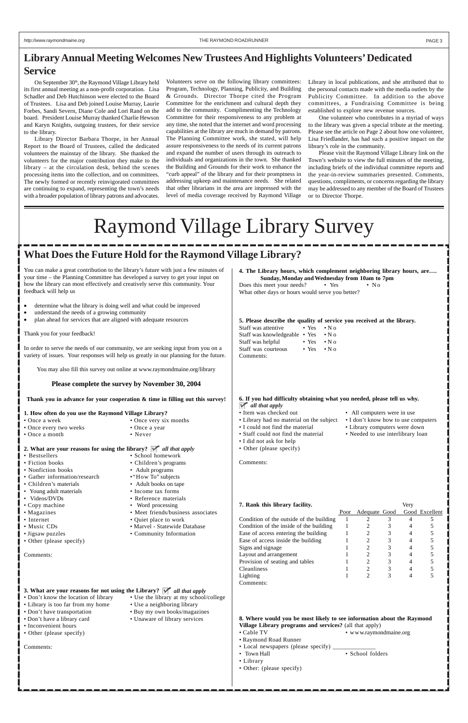You can make a great contribution to the library's future with just a few minutes of your time – the Planning Committee has developed a survey to get your input on how the library can most effectively and creatively serve this community. Your feedback will help us

- determine what the library is doing well and what could be improved
- understand the needs of a growing community
- plan ahead for services that are aligned with adequate resources

Thank you for your feedback!

- 
- **2. What are your reasons for using the library?** *all that apply*
- Bestsellers School homework
- Fiction books Children's programs
- Nonfiction books Adult programs
- Gather information/research "How To" subjects
- Children's materials Adult books on tape
- Young adult materials Income tax forms<br>• Videos/DVDs Reference materials
- 
- Copy machine Word processing<br>• Magazines Meet friends/busi
- 
- 
- 
- Internet Quiet place to work

• Reference materials

• Music CDs • Marvel - Statewide Database

• Meet friends/business associates

In order to serve the needs of our community, we are seeking input from you on a variety of issues. Your responses will help us greatly in our planning for the future.

You may also fill this survey out online at www.raymondmaine.org/library

#### **Please complete the survey by November 30, 2004**

**Thank you in advance for your cooperation & time in filling out this survey!**

|  |  |  | 1. How often do you use the Raymond Village Library? |  |
|--|--|--|------------------------------------------------------|--|
|  |  |  |                                                      |  |

- Once a week Once very six months
- Once every two weeks Once a year
- Once a month Never

- Don't know the location of library Use the library at my
- Library is too far from my home Use a neighboring library
- Don't have transportation Buy my own books/ma
- Don't have a library card Unaware of library ser
- Inconvenient hours
- Other (please specify)

Does this meet your needs? • Yes • No What other days or hours would serve you better?

- 
- Library had no material on the subject I don't know how to use computers
- 
- 
- I did not ask for help
- Other (please specify)

**7. Rank this library facility.** Very Poor Adequate Good Good Excellent Condition of the outside of the building  $1$  2 3 4 5 Condition of the inside of the building  $12347$ <br>12345

| Jigsaw puzzles |  |  |
|----------------|--|--|
|----------------|--|--|

• Other (please specify)

Comments:

Comments:

• Community Informatio

On September 30<sup>th</sup>, the Raymond Village Library held its first annual meeting as a non-profit corporation. Lisa Schadler and Deb Hutchinson were elected to the Board of Trustees. Lisa and Deb joined Louise Murray, Laurie Forbes, Sandi Severn, Diane Cole and Lori Rand on the board. President Louise Murray thanked Charlie Hewson and Karyn Knights, outgoing trustees, for their service to the library.

> **4. The Library hours, which complement neighboring library hours, are…. Sunday, Monday and Wednesday from 10am to 7pm**

**5. Please describe the quality of service you received at the library.**

| Staff was attentive           | $\bullet$ Yes $\bullet$ N o |                    |
|-------------------------------|-----------------------------|--------------------|
| Staff was knowledgeable • Yes |                             | $\cdot$ N $\alpha$ |
| Staff was helpful             | $\bullet$ Yes               | $\cdot$ N $\alpha$ |
| Staff was courteous           | $\bullet$ Yes               | $\cdot$ N $\alpha$ |
| Comments:                     |                             |                    |

### **3. What are your reasons for not using the Library?** *all that apply*

Comments:

- Item was checked out All computers were in use
	-
- I could not find the material Library computers were down
- Staff could not find the material Needed to use interlibrary loan

**6. If you had difficulty obtaining what you needed, please tell us why.** *all that apply*

| on             | Ease of access entering the building                                   | 1                 |                        | 3              | 4              | 5          |
|----------------|------------------------------------------------------------------------|-------------------|------------------------|----------------|----------------|------------|
|                | Ease of access inside the building                                     |                   | $\overline{2}$         | 3 <sup>7</sup> | $4 \quad$      | 5          |
|                | Signs and signage                                                      |                   | $\overline{2}$         | 3 <sup>1</sup> | $4 \quad$      | $\sqrt{5}$ |
|                | Layout and arrangement                                                 | $1 \qquad \qquad$ | $\overline{2}$         | 3 <sup>7</sup> | $\overline{4}$ | 5          |
|                | Provision of seating and tables                                        | $1 \qquad \qquad$ | $\overline{2}$         | 3 <sup>7</sup> | $\overline{4}$ | $\sqrt{5}$ |
|                | <b>Cleanliness</b>                                                     |                   | $\overline{2}$         | 3 <sup>1</sup> | $4 \quad$      | $\sqrt{5}$ |
|                | Lighting                                                               | 1                 | $2^{\circ}$            | $\mathcal{E}$  | $\overline{4}$ | 5          |
|                | Comments:                                                              |                   |                        |                |                |            |
| t apply        |                                                                        |                   |                        |                |                |            |
| school/college |                                                                        |                   |                        |                |                |            |
| ary:           |                                                                        |                   |                        |                |                |            |
| agazines       |                                                                        |                   |                        |                |                |            |
| rvices         | 8. Where would you be most likely to see information about the Raymond |                   |                        |                |                |            |
|                | Village Library programs and services? (all that apply)                |                   |                        |                |                |            |
|                | • Cable TV                                                             |                   | • www.raymondmaine.org |                |                |            |
|                | • Raymond Road Runner                                                  |                   |                        |                |                |            |
|                | • Local newspapers (please specify) _______                            |                   |                        |                |                |            |
|                | • Town Hall                                                            |                   | • School folders       |                |                |            |
|                | • Library                                                              |                   |                        |                |                |            |
|                | • Other: (please specify)                                              |                   |                        |                |                |            |
|                |                                                                        |                   |                        |                |                |            |
|                |                                                                        |                   |                        |                |                |            |
|                |                                                                        |                   |                        |                |                |            |
|                |                                                                        |                   |                        |                |                |            |

### **What Does the Future Hold for the Raymond Village Library?**

Library Director Barbara Thorpe, in her Annual Report to the Board of Trustees, called the dedicated volunteers the mainstay of the library. She thanked the volunteers for the major contribution they make to the library – at the circulation desk, behind the scenes processing items into the collection, and on committees. The newly formed or recently reinvigorated committees are continuing to expand, representing the town's needs with a broader population of library patrons and advocates.

Volunteers serve on the following library committees: Program, Technology, Planning, Publicity, and Building & Grounds. Director Thorpe cited the Program Committee for the enrichment and cultural depth they add to the community. Complimenting the Technology Committee for their responsiveness to any problem at any time, she noted that the internet and word processing capabilities at the library are much in demand by patrons. The Planning Committee work, she stated, will help assure responsiveness to the needs of its current patrons and expand the number of users through its outreach to individuals and organizations in the town. She thanked the Building and Grounds for their work to enhance the "curb appeal" of the library and for their promptness in addressing upkeep and maintenance needs. She related that other librarians in the area are impressed with the level of media coverage received by Raymond Village

Library in local publications, and she attributed that to the personal contacts made with the media outlets by the Publicity Committee. In addition to the above committees, a Fundraising Committee is being established to explore new revenue sources.

One volunteer who contributes in a myriad of ways to the library was given a special tribute at the meeting. Please see the article on Page 2 about how one volunteer, Lisa Friedlander, has had such a positive impact on the library's role in the community.

Please visit the Raymond Village Library link on the Town's website to view the full minutes of the meeting, including briefs of the individual committee reports and the year-in-review summaries presented. Comments, questions, compliments, or concerns regarding the library may be addressed to any member of the Board of Trustees or to Director Thorpe.

### **Library Annual Meeting Welcomes New Trustees And Highlights Volunteers' Dedicated Service**

# Raymond Village Library Survey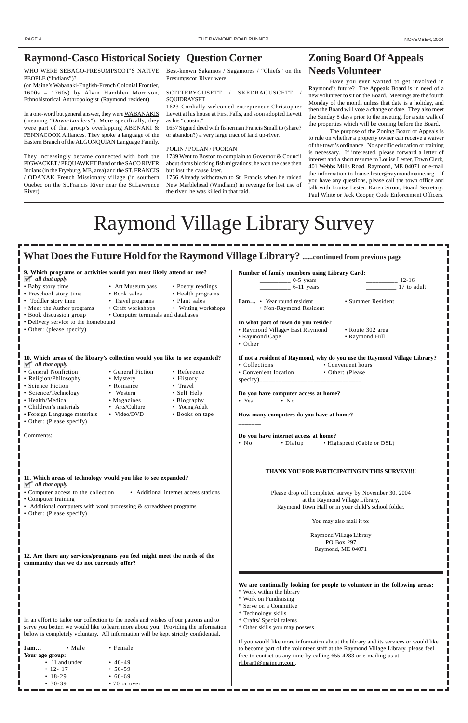### **What Does the Future Hold for the Raymond Village Library? ......continued from previous page**

Iam... • Male • Female **Your age group:**

• 11 and under • 40-49

- 
- 
- 30-39 70 or over
- 12- 17 50-59 • 18-29 • 60-69

**12. Are there any services/programs you feel might meet the needs of the community that we do not currently offer?**

| 9. Which programs or activities would you most likely attend or use?                         |                                    |                                       | Number of family members using Library Card:                              |  |  |  |
|----------------------------------------------------------------------------------------------|------------------------------------|---------------------------------------|---------------------------------------------------------------------------|--|--|--|
| $\blacktriangleright$ all that apply                                                         |                                    |                                       | $\frac{12-16}{12-16}$<br>$\frac{1}{2}$ 0-5 years                          |  |  |  |
| • Baby story time                                                                            | • Art Museum pass                  | • Poetry readings                     | $\frac{1}{1}$ 6-11 years<br>17 to adult                                   |  |  |  |
| • Preschool story time                                                                       | • Book sales                       | • Health programs                     |                                                                           |  |  |  |
| • Toddler story time                                                                         | • Travel programs                  | • Plant sales                         | • Summer Resident<br>I am • Year round resident                           |  |  |  |
| • Meet the Author programs                                                                   | • Craft workshops                  | • Writing workshops                   | • Non-Raymond Resident                                                    |  |  |  |
| • Book discussion group                                                                      | • Computer terminals and databases |                                       |                                                                           |  |  |  |
| • Delivery service to the homebound                                                          |                                    |                                       | In what part of town do you reside?                                       |  |  |  |
| • Other: (please specify)                                                                    |                                    |                                       | • Raymond Village• East Raymond<br>• Route 302 area                       |  |  |  |
|                                                                                              |                                    |                                       | • Raymond Cape<br>• Raymond Hill                                          |  |  |  |
|                                                                                              |                                    |                                       | • Other                                                                   |  |  |  |
| 10. Which areas of the library's collection would you like to see expanded?                  |                                    |                                       | If not a resident of Raymond, why do you use the Raymond Village Library? |  |  |  |
| $\mathbb{R}$ all that apply                                                                  |                                    |                                       | • Collections<br>• Convenient hours                                       |  |  |  |
| • General Nonfiction                                                                         | • General Fiction                  | • Reference                           | • Convenient location<br>• Other: (Please                                 |  |  |  |
| • Religion/Philosophy                                                                        | • Mystery                          | • History                             |                                                                           |  |  |  |
| • Science Fiction                                                                            | • Romance                          | • Travel                              |                                                                           |  |  |  |
| • Science/Technology                                                                         | • Western                          | • Self Help                           | Do you have computer access at home?                                      |  |  |  |
| • Health/Medical                                                                             | • Magazines                        | • Biography                           | $\bullet$ Yes<br>$\bullet$ No                                             |  |  |  |
| • Children's materials                                                                       | • Arts/Culture                     | • Young Adult                         |                                                                           |  |  |  |
| • Foreign Language materials                                                                 | • Video/DVD                        | • Books on tape                       | How many computers do you have at home?                                   |  |  |  |
| • Other: (Please specify)                                                                    |                                    |                                       |                                                                           |  |  |  |
|                                                                                              |                                    |                                       |                                                                           |  |  |  |
| Comments:                                                                                    |                                    |                                       | Do you have internet access at home?                                      |  |  |  |
|                                                                                              |                                    |                                       | $\cdot$ No<br>$\bullet$ Dialup<br>• Highspeed (Cable or DSL)              |  |  |  |
|                                                                                              |                                    |                                       |                                                                           |  |  |  |
|                                                                                              |                                    |                                       |                                                                           |  |  |  |
|                                                                                              |                                    |                                       | THANK YOU FOR PARTICIPATING IN THIS SURVEY !!!!                           |  |  |  |
| 11. Which areas of technology would you like to see expanded?<br>$\mathbb{V}$ all that apply |                                    |                                       |                                                                           |  |  |  |
| • Computer access to the collection                                                          |                                    | • Additional internet access stations | Please drop off completed survey by November 30, 2004                     |  |  |  |
| • Computer training                                                                          |                                    |                                       | at the Raymond Village Library,                                           |  |  |  |
| • Additional computers with word processing $&$ spreadsheet programs                         |                                    |                                       | Raymond Town Hall or in your child's school folder.                       |  |  |  |
| • Other: (Please specify)                                                                    |                                    |                                       |                                                                           |  |  |  |
|                                                                                              |                                    |                                       |                                                                           |  |  |  |

In an effort to tailor our collection to the needs and wishes of our patrons and to serve you better, we would like to learn more about you. Providing the information below is completely voluntary. All information will be kept strictly confidential.

Raymond Village Library PO Box 297 Raymond, ME 04071

**We are continually looking for people to volunteer in the following areas:**

- \* Work within the library
- \* Work on Fundraising
- \* Serve on a Committee
- \* Technology skills
- \* Crafts/ Special talents
- \* Other skills you may possess

If you would like more information about the library and its services or would like to become part of the volunteer staff at the Raymond Village Library, please feel free to contact us any time by calling 655-4283 or e-mailing us at rlibrar1@maine.rr.com.

WHO WERE SEBAGO-PRESUMPSCOT'S NATIVE PEOPLE ("Indians")?

(on Maine's Wabanaki-English-French Colonial Frontier, 1600s – 1760s) by Alvin Hamblen Morrison, Ethnohistorical Anthropologist (Raymond resident)

In a one-word but general answer, they were WABANAKIS (meaning "*Dawn-Landers*"). More specifically, they were part of that group's overlapping ABENAKI & PENNACOOK Alliances. They spoke a language of the Eastern Branch of the ALGONQUIAN Language Family.

They increasingly became connected with both the PIGWACKET / PEQUAWKET Band of the SACO RIVER Indians (in the Fryeburg, ME, area) and the ST. FRANCIS / ODANAK French Missionary village (in southern Quebec on the St.Francis River near the St.Lawrence River).

Best-known Sakamos / Sagamores / "Chiefs" on the Presumpscot River were:

SCITTERYGUSETT / SKEDRAGUSCETT / SQUIDRAYSET

1623 Cordially welcomed entrepreneur Christopher Levett at his house at First Falls, and soon adopted Levett as his "cousin."

1657 Signed deed with fisherman Francis Small to (share? or abandon?) a very large tract of land up-river.

#### POLIN / POLAN / POORAN

1739 Went to Boston to complain to Governor & Council about dams blocking fish migrations; he won the case then but lost the cause later.

1756 Already withdrawn to St. Francis when he raided New Marblehead (Windham) in revenge for lost use of the river; he was killed in that raid.

### **Zoning Board Of Appeals Needs Volunteer**

Have you ever wanted to get involved in Raymond's future? The Appeals Board is in need of a new volunteer to sit on the Board. Meetings are the fourth Monday of the month unless that date is a holiday, and then the Board will vote a change of date. They also meet the Sunday 8 days prior to the meeting, for a site walk of the properties which will be coming before the Board.

The purpose of the Zoning Board of Appeals is to rule on whether a property owner can receive a waiver of the town's ordinance. No specific education or training is necessary. If interested, please forward a letter of interest and a short resume to Louise Lester, Town Clerk, 401 Webbs Mills Road, Raymond, ME 04071 or e-mail the information to louise.lester@raymondmaine.org. If you have any questions, please call the town office and talk with Louise Lester; Karen Strout, Board Secretary; Paul White or Jack Cooper, Code Enforcement Officers.

PAGE 4 THE RAYMOND ROAD RUNNER NOVEMBER, 2004

### **Raymond-Casco Historical Society Question Corner**

# Raymond Village Library Survey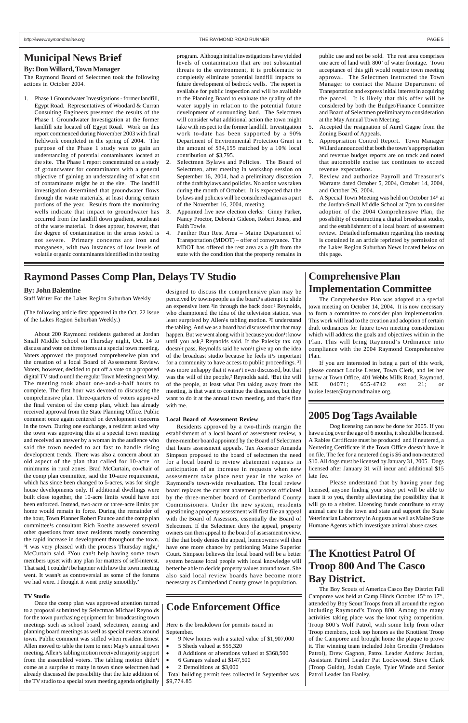### **Municipal News Brief**

#### **By: Don Willard, Town Manager**

The Raymond Board of Selectmen took the following actions in October 2004.

1. Phase 1 Groundwater Investigations - former landfill, Egypt Road. Representatives of Woodard & Curran Consulting Engineers presented the results of the Phase 1 Groundwater Investigation at the former landfill site located off Egypt Road. Work on this report commenced during November 2003 with final fieldwork completed in the spring of 2004. The purpose of the Phase 1 study was to gain an understanding of potential contaminants located at the site. The Phase 1 report concentrated on a study of groundwater for contaminants with a general objective of gaining an understanding of what sort of contaminants might be at the site. The landfill investigation determined that groundwater flows through the waste materials, at least during certain portions of the year. Results from the monitoring wells indicate that impact to groundwater has occurred from the landfill down gradient, southeast of the waste material. It does appear, however, that the degree of contamination in the areas tested is not severe. Primary concerns are iron and manganese, with two instances of low levels of volatile organic contaminants identified in the testing

program. Although initial investigations have yielded levels of contamination that are not substantial threats to the environment, it is problematic to completely eliminate potential landfill impacts to future development of bedrock wells. The report is available for public inspection and will be available to the Planning Board to evaluate the quality of the water supply in relation to the potential future development of surrounding land. The Selectmen will consider what additional action the town might take with respect to the former landfill. Investigation work to-date has been supported by a 90% Department of Environmental Protection Grant in the amount of \$34,155 matched by a 10% local contribution of \$3,795.

About 200 Raymond residents gathered at Jordan Small Middle School on Thursday night, Oct. 14 to discuss and vote on three items at a special town meeting. Voters approved the proposed comprehensive plan and the creation of a local Board of Assessment Review. Voters, however, decided to put off a vote on a proposed digital TV studio until the regular Town Meeting next May. The meeting took about one-and-a-half hours to complete. The first hour was devoted to discussing the comprehensive plan. Three-quarters of voters approved the final version of the comp plan, which has already received approval from the State Planning Office. Public comment once again centered on development concerns in the town. During one exchange, a resident asked why the town was approving this at a special town meeting and received an answer by a woman in the audience who said the town needed to act fast to handle rising development trends. There was also a concern about an old aspect of the plan that called for 10-acre lot minimums in rural zones. Brad McCurtain, co-chair of the comp plan committee, said the 10-acre requirement, which has since been changed to 5-acres, was for single house developments only. If additional dwellings were built close together, the 10-acre limits would have not been enforced. Instead, two-acre or three-acre limits per home would remain in force. During the remainder of the hour, Town Planner Robert Faunce and the comp plan committee<sup>1</sup>s consultant Rich Roethe answered several other questions from town residents mostly concerning the rapid increase in development throughout the town. <sup>3</sup>I was very pleased with the process Thursday night,<sup>2</sup> McCurtain said. <sup>3</sup>You can<sup>1</sup>t help having some town members upset with any plan for matters of self-interest. That said, I couldn<sup>1</sup>t be happier with how the town meeting went. It wasn<sup>1</sup>t as controversial as some of the forums we had were. I thought it went pretty smoothly.<sup>2</sup>

- 2. Selectmen Bylaws and Policies. The Board of Selectmen, after meeting in workshop session on September 16, 2004, had a preliminary discussion of the draft bylaws and policies. No action was taken during the month of October. It is expected that the bylaws and policies will be considered again as a part of the November 16, 2004, meeting.
- 3. Appointed five new election clerks: Ginny Parker, Nancy Proctor, Deborah Gideon, Robert Jones, and Faith Towle.
- 4. Panther Run Rest Area Maine Department of Transportation (MDOT) – offer of conveyance. The MDOT has offered the rest area as a gift from the state with the condition that the property remains in

public use and not be sold. The rest area comprises one acre of land with 800' of water frontage. Town acceptance of this gift would require town meeting approval. The Selectmen instructed the Town Manager to contact the Maine Department of Transportation and express initial interest in acquiring the parcel. It is likely that this offer will be considered by both the Budget/Finance Committee and Board of Selectmen preliminary to consideration at the May Annual Town Meeting.

- 5. Accepted the resignation of Aurel Gagne from the Zoning Board of Appeals.
- 6. Appropriation Control Report. Town Manager Willard announced that both the town's appropriation and revenue budget reports are on track and noted that automobile excise tax continues to exceed revenue expectations.
- 7. Review and authorize Payroll and Treasurer's Warrants dated October 5, 2004, October 14, 2004, and October 26, 2004.
- 8. A Special Town Meeting was held on October  $14<sup>th</sup>$  at the Jordan-Small Middle School at 7pm to consider adoption of the 2004 Comprehensive Plan, the possibility of constructing a digital broadcast studio, and the establishment of a local board of assessment review. Detailed information regarding this meeting is contained in an article reprinted by permission of the Lakes Region Suburban News located below on this page.

#### **By: John Balentine**

Staff Writer For the Lakes Region Suburban Weekly

(The following article first appeared in the Oct. 22 issue of the Lakes Region Suburban Weekly.)

#### **TV Studio**

Once the comp plan was approved attention turned to a proposal submitted by Selectman Michael Reynolds for the town purchasing equipment for broadcasting town meetings such as school board, selectmen, zoning and planning board meetings as well as special events around town. Public comment was stifled when resident Ernest Allen moved to table the item to next May<sup>1</sup>s annual town meeting. Allen<sup>1</sup>s tabling motion received majority support from the assembled voters. The tabling motion didn<sup>1</sup>t come as a surprise to many in town since selectmen had already discussed the possibility that the late addition of the TV studio to a special town meeting agenda originally

designed to discuss the comprehensive plan may be perceived by townspeople as the board<sup>1</sup>s attempt to slide an expensive item <sup>3</sup>in through the back door.<sup>2</sup> Reynolds, who championed the idea of the television station, was least surprised by Allen<sup>1</sup>s tabling motion. <sup>3</sup>I understand the tabling. And we as a board had discussed that that may happen. But we went along with it because you don<sup>1</sup>t know until you ask,² Reynolds said. If the Palesky tax cap doesn<sup>1</sup>t pass, Reynolds said he won<sup>1</sup>t give up on the idea of the broadcast studio because he feels it<sup>1</sup>s important for a community to have access to public proceedings. <sup>3</sup>I was more unhappy that it wasn<sup>1</sup>t even discussed, but that was the will of the people,<sup>2</sup> Reynolds said. <sup>3</sup>But the will of the people, at least what  $I<sup>1</sup>m$  taking away from the meeting, is that want to continue the discussion, but they want to do it at the annual town meeting, and that<sup>1</sup>s fine with me.

#### **Local Board of Assessment Review**

Residents approved by a two-thirds margin the establishment of a local board of assessment review, a three-member board appointed by the Board of Selectmen that hears assessment appeals. Tax Assessor Amanda Simpson proposed to the board of selectmen the need for a local board to review abatement requests in anticipation of an increase in requests when new assessments take place next year in the wake of Raymond<sup>1</sup>s town-wide revaluation. The local review board replaces the current abatement process officiated by the three-member board of Cumberland County Commissioners. Under the new system, residents questioning a property assessment will first file an appeal with the Board of Assessors, essentially the Board of Selectmen. If the Selectmen deny the appeal, property owners can then appeal to the board of assessment review. If the that body denies the appeal, homeowners will then have one more chance by petitioning Maine Superior Court. Simpson believes the local board will be a better system because local people with local knowledge will better be able to decide property values around town. She also said local review boards have become more necessary as Cumberland County grows in population.

### **Code Enforcement Office**

Here is the breakdown for permits issued in September.

- 9 New homes with a stated value of \$1,907,000
- 5 Sheds valued at \$55,320
- 8 Additions or alterations valued at \$368,500
- 6 Garages valued at \$147,500
- 2 Demolitions at \$3,000

 Total building permit fees collected in September was \$9,774.85

### **Comprehensive Plan Implementation Committee**

The Comprehensive Plan was adopted at a special town meeting on October 14, 2004. It is now necessary to form a committee to consider plan implementation. This work will lead to the creation and adoption of certain draft ordinances for future town meeting consideration which will address the goals and objectives within in the Plan. This will bring Raymond's Ordinance into compliance with the 2004 Raymond Comprehensive Plan.

If you are interested in being a part of this work, please contact Louise Lester, Town Clerk, and let her know at Town Office, 401 Webbs Mills Road, Raymond, ME 04071; 655-4742 ext 21; or louise.lester@raymondmaine.org.

### **2005 Dog Tags Available**

Dog licensing can now be done for 2005. If you have a dog over the age of 6 months, it should be licensed. A Rabies Certificate must be produced and if neutered, a Neutering Certificate if the Town Office doesn't have it on file. The fee for a neutered dog is \$6 and non-neutered \$10. All dogs must be licensed by January 31, 2005. Dogs licensed after January 31 will incur and additional \$15 late fee.

Please understand that by having your dog licensed, anyone finding your stray pet will be able to trace it to you, thereby alleviating the possibility that it will go to a shelter. Licensing funds contribute to stray animal care in the town and state and support the State Veterinarian Laboratory in Augusta as well as Maine State Humane Agents which investigate animal abuse cases.

### **Raymond Passes Comp Plan, Delays TV Studio**

### **The Knottiest Patrol Of Troop 800 And The Casco Bay District.**

The Boy Scouts of America Casco Bay District Fall Camporee was held at Camp Hinds October  $15<sup>th</sup>$  to  $17<sup>th</sup>$ , attended by Boy Scout Troops from all around the region including Raymond's Troop 800. Among the many activities taking place was the knot tying competition. Troop 800's Wolf Patrol, with some help from other Troop members, took top honors as the Knottiest Troop of the Camporee and brought home the plaque to prove it. The winning team included John Grondin (Predators Patrol), Drew Gagnon, Patrol Leader Andrew Jordan, Assistant Patrol Leader Pat Lockwood, Steve Clark (Troop Guide), Josiah Coyle, Tyler Winde and Senior Patrol Leader Ian Hanley.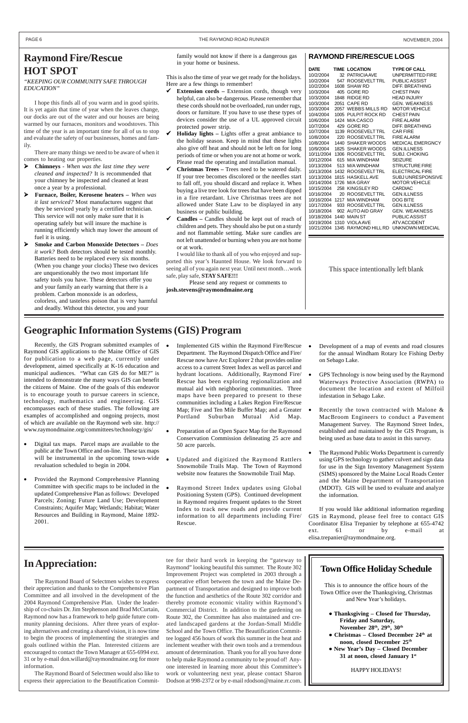### **Raymond Fire/Rescue HOT SPOT**

*"KEEPING OUR COMMUNITY SAFE THROUGH EDUCATION"*

I hope this finds all of you warm and in good spirits. It is yet again that time of year when the leaves change, our docks are out of the water and our houses are being warmed by our furnaces, monitors and woodstoves. This time of the year is an important time for all of us to stop and evaluate the safety of our businesses, homes and family.

There are many things we need to be aware of when it comes to heating our properties.

- ¾ **Chimneys** *When was the last time they were cleaned and inspected?* It is recommended that your chimney be inspected and cleaned at least once a year by a professional.
- ¾ **Furnace, Boiler, Kerosene heaters** *When was it last serviced?* Most manufactures suggest that they be serviced yearly by a certified technician. This service will not only make sure that it is operating safely but will insure the machine is running efficiently which may lower the amount of fuel it is using.
- ¾ **Smoke and Carbon Monoxide Detectors** *Does it work?* Both detectors should be tested monthly. Batteries need to be replaced every six months. (When you change your clocks) These two devices are unquestionably the two most important life safety tools you have. These detectors offer you and your family an early warning that there is a problem. Carbon monoxide is an odorless, colorless, and tasteless poison that is very harmful and deadly. Without this detector, you and your

family would not know if there is a dangerous gas in your home or business.

This is also the time of year we get ready for the holidays. Here are a few things to remember!

- 9 **Extension cords** Extension cords, though very helpful, can also be dangerous. Please remember that these cords should not be overloaded, run under rugs, doors or furniture. If you have to use these types of devices consider the use of a UL approved circuit protected power strip.
- 9 **Holiday lights –** Lights offer a great ambiance to the holiday season. Keep in mind that these lights also give off heat and should not be left on for long periods of time or when you are not at home or work. Please read the operating and installation manual.
- 9 **Christmas Trees –** Trees need to be watered daily. If your tree becomes discolored or the needles start to fall off, you should discard and replace it. When buying a live tree look for trees that have been dipped in a fire retardant. Live Christmas trees are not allowed under State Law to be displayed in any business or public building.
- 9 **Candles –** Candles should be kept out of reach of children and pets. They should also be put on a sturdy and not flammable setting. Make sure candles are not left unattended or burning when you are not home or at work.

I would like to thank all of you who enjoyed and supported this year's Haunted House. We look forward to seeing all of you again next year. Until next month…work safe, play safe, **STAY SAFE!!!**

 Please send any request or comments to **josh.stevens@raymondmaine.org**

Recently, the GIS Program submitted examples of Raymond GIS applications to the Maine Office of GIS for publication to a web page, currently under development, aimed specifically at K-16 education and municipal audiences. "What can GIS do for ME?" is intended to demonstrate the many ways GIS can benefit the citizens of Maine. One of the goals of this endeavor is to encourage youth to pursue careers in science, technology, mathematics and engineering. GIS encompasses each of these studies. The following are examples of accomplished and ongoing projects, most of which are available on the Raymond web site. http:// www.raymondmaine.org/committees/technology/gis/

- Digital tax maps. Parcel maps are available to the public at the Town Office and on-line. These tax maps will be instrumental in the upcoming town-wide revaluation scheduled to begin in 2004.
- Provided the Raymond Comprehensive Planning Committee with specific maps to be included in the updated Comprehensive Plan as follows: Developed Parcels; Zoning; Future Land Use; Development Constraints; Aquifer Map; Wetlands; Habitat; Water Resources and Building in Raymond, Maine 1892- 2001.
- Implemented GIS within the Raymond Fire/Rescue Department. The Raymond Dispatch Office and Fire/ Rescue now have Arc Explorer 2 that provides online access to a current Street Index as well as parcel and hydrant locations. Additionally, Raymond Fire/ Rescue has been exploring regionalization and mutual aid with neighboring communities. Three maps have been prepared to present to these communities including a Lakes Region Fire/Rescue Map; Five and Ten Mile Buffer Map; and a Greater Portland Suburban Mutual Aid Map.
- Preparation of an Open Space Map for the Raymond Conservation Commission delineating 25 acre and 50 acre parcels.
- Updated and digitized the Raymond Rattlers Snowmobile Trails Map. The Town of Raymond website now features the Snowmobile Trail Map.
- Raymond Street Index updates using Global Positioning System (GPS). Continued development in Raymond requires frequent updates to the Street Index to track new roads and provide current information to all departments including Fire/ Rescue.

|  | <b>RAYMOND FIRE/RESCUE LOGS</b> |
|--|---------------------------------|
|--|---------------------------------|

| <b>DATE</b>             | TIME LOCATION                                | <b>TYPE OF CALL</b>                              |
|-------------------------|----------------------------------------------|--------------------------------------------------|
| 10/2/2004               | 32 PATRICIA AVE                              | UNPERMITTED FIRE                                 |
| 10/2/2004               | 547 ROOSEVELTTRL PUBLICASSIST                |                                                  |
| 10/2/2004               | 1608 SHAW RD                                 | DIFF, BREATHING                                  |
| 10/3/2004               | 405 GORE RD                                  | <b>CHEST PAIN</b>                                |
| 10/3/2004               | 1848 RIDGE RD                                | <b>HEAD INJURY</b>                               |
| 10/3/2004               | 2051 CAPE RD                                 | <b>GEN. WEAKNESS</b>                             |
| 10/3/2004               | 2057 WEBBS MILLS RD                          | <b>MOTOR VEHICLE</b>                             |
| 10/4/2004               | 1005 PULPIT ROCK RD                          | <b>CHEST PAIN</b>                                |
| 10/6/2004               | 1424 M/A CASCO                               | <b>FIRE ALARM</b>                                |
| 10/7/2004               | 429 GORE RD                                  | DIFF, BREATHING                                  |
| 10/7/2004               | 1139 ROOSEVELTTRL CAR FIRE                   |                                                  |
| 10/8/2004               | 220 ROOSEVELTTRL FIRE ALARM                  |                                                  |
| 10/8/2004               | 1440 SHAKER WOODS                            | <b>MEDICAL EMERGNCY</b>                          |
| 10/9/2004               | 1825 SHAKER WOODS                            | <b>GEN.ILLNESS</b>                               |
| 10/11/2004              | 1306 ROOSEVELTTRL                            | <b>SUBJ. CHOKING</b>                             |
| 10/12/2004              | 615 M/A WINDHAM                              | <b>SEIZURE</b>                                   |
|                         | 10/13/2004 513 M/A WINDHAM                   | <b>STRUCTURE FIRE</b>                            |
|                         | 10/13/2004 1432 ROOSEVELTTRL ELECTRICAL FIRE |                                                  |
| 10/13/2004              | 1815 HASKELLAVE                              | <b>SUBJUNRESPONSIVE</b>                          |
|                         | 10/14/2004 1726 M/A GRAY                     | <b>MOTOR VEHICLE</b>                             |
|                         | 10/15/2004 258 KINGSLEY RD                   | <b>CARDIAC</b>                                   |
| 10/16/2004              | 20 ROOSEVELTTRL                              | <b>GEN.ILLNESS</b>                               |
|                         | 10/16/2004 1217 M/A WINDHAM                  | <b>DOG BITE</b>                                  |
| 10/17/2004              | 933 ROOSEVELTTRL                             | <b>GEN.ILLNESS</b>                               |
|                         | 10/18/2004 902 AUTO AID GRAY                 | <b>GEN. WEAKNESS</b>                             |
| 10/18/2004 1440 MAIN ST |                                              | PUBLIC ASSIST                                    |
|                         | 10/19/2004 1310 VIOLAAVE                     | ATV ACCIDENT                                     |
|                         |                                              | 10/21/2004 1345 RAYMOND HILL RD UNKNOWN MEDICIAL |

### **Geographic Information Systems (GIS) Program**

- Development of a map of events and road closures for the annual Windham Rotary Ice Fishing Derby on Sebago Lake.
- GPS Technology is now being used by the Raymond Waterways Protective Association (RWPA) to document the location and extent of Milfoil infestation in Sebago Lake.
- Recently the town contracted with Malone  $\&$ MacBroom Engineers to conduct a Pavement Management Survey. The Raymond Street Index, established and maintained by the GIS Program, is being used as base data to assist in this survey.
- The Raymond Public Works Department is currently using GPS technology to gather culvert and sign data for use in the Sign Inventory Management System (SIMS) sponsored by the Maine Local Roads Center and the Maine Department of Transportation (MDOT). GIS will be used to evaluate and analyze the information.

If you would like additional information regarding GIS in Raymond, please feel free to contact GIS Coordinator Elisa Trepanier by telephone at 655-4742  $61$  or by  $e$ -mail elisa.trepanier@raymondmaine.org.

### **In Appreciation:**

The Raymond Board of Selectmen wishes to express their appreciation and thanks to the Comprehensive Plan Committee and all involved in the development of the 2004 Raymond Comprehensive Plan. Under the leadership of co-chairs Dr. Jim Stephenson and Brad McCurtain, Raymond now has a framework to help guide future community planning decisions. After three years of exploring alternatives and creating a shared vision, it is now time to begin the process of implementing the strategies and goals outlined within the Plan. Interested citizens are encouraged to contact the Town Manager at 655-6994 ext. 31 or by e-mail don.willard@raymondmaine.org for more information.

The Raymond Board of Selectmen would also like to express their appreciation to the Beautification Commit-

tee for their hard work in keeping the "gateway to Raymond" looking beautiful this summer. The Route 302 Improvement Project was completed in 2003 through a cooperative effort between the town and the Maine Department of Transportation and designed to improve both the function and aesthetics of the Route 302 corridor and thereby promote economic vitality within Raymond's Commercial District. In addition to the gardening on Route 302, the Committee has also maintained and created landscaped gardens at the Jordan-Small Middle School and the Town Office. The Beautification Committee logged 456 hours of work this summer in the heat and inclement weather with their own tools and a tremendous amount of determination. Thank you for all you have done to help make Raymond a community to be proud of! Anyone interested in learning more about this Committee's work or volunteering next year, please contact Sharon Dodson at 998-2372 or by e-mail rdodson@maine.rr.com.

### **Town Office Holiday Schedule**

This is to announce the office hours of the Town Office over the Thanksgiving, Christmas and New Year's holidays.

- **Thanksgiving Closed for Thursday, Friday and Saturday, November 28th, 29th, 30th**
- **Christmas Closed December 24th at noon, closed December 25th**
- **New Year's Day Closed December 31 at noon, closed January 1st**

HAPPY HOLIDAYS!

This space intentionally left blank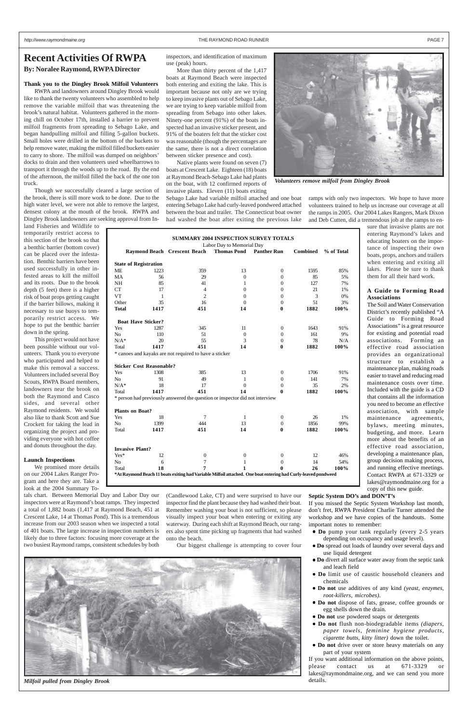#### *http://www.raymondmaine.org* THE RAYMOND ROAD RUNNER PAGE 7

### **Recent Activities Of RWPA By: Noralee Raymond, RWPA Director**

### **Thank you to the Dingley Brook Milfoil Volunteers**

RWPA and landowners around Dingley Brook would like to thank the twenty volunteers who assembled to help remove the variable milfoil that was threatening the brook's natural habitat. Volunteers gathered in the morning chill on October 17th, installed a barrier to prevent milfoil fragments from spreading to Sebago Lake, and began handpulling milfoil and filling 5-gallon buckets. Small holes were drilled in the bottom of the buckets to help remove water, making the milfoil filled buckets easier to carry to shore. The milfoil was dumped on neighbors' docks to drain and then volunteers used wheelbarrows to transport it through the woods up to the road. By the end of the afternoon, the milfoil filled the back of the one ton truck.

Though we successfully cleared a large section of the brook, there is still more work to be done. Due to the high water level, we were not able to remove the largest, densest colony at the mouth of the brook. RWPA and Dingley Brook landowners are seeking approval from In-

land Fisheries and Wildlife to temporarily restrict access to this section of the brook so that a benthic barrier (bottom cover) can be placed over the infestation. Benthic barriers have been used successfully in other infested areas to kill the milfoil and its roots. Due to the brook depth (5 feet) there is a higher risk of boat props getting caught if the barrier billows, making it necessary to use buoys to temporarily restrict access. We hope to put the benthic barrier down in the spring.

This project would not have been possible without our volunteers. Thank you to everyone who participated and helped to make this removal a success. Volunteers included several Boy Scouts, RWPA Board members, landowners near the brook on both the Raymond and Casco sides, and several other Raymond residents. We would also like to thank Scott and Sue Crockett for taking the lead in organizing the project and providing everyone with hot coffee and donuts throughout the day.

#### **Launch Inspections**

We promised more details on our 2004 Lakes Ranger Program and here they are. Take a look at the 2004 Summary To-

tals chart. Between Memorial Day and Labor Day our inspectors were at Raymond's boat ramps. They inspected a total of 1,882 boats (1,417 at Raymond Beach, 451 at Crescent Lake, 14 at Thomas Pond). This is a tremendous increase from our 2003 season when we inspected a total of 401 boats. The large increase in inspection numbers is likely due to three factors: focusing more coverage at the two busiest Raymond ramps, consistent schedules by both

inspectors, and identification of maximum use (peak) hours.

More than thirty percent of the 1,417 boats at Raymond Beach were inspected both entering and exiting the lake. This is important because not only are we trying to keep invasive plants out of Sebago Lake, we are trying to keep variable milfoil from spreading from Sebago into other lakes. Ninety-one percent (91%) of the boats inspected had an invasive sticker present, and 91% of the boaters felt that the sticker cost was reasonable (though the percentages are the same, there is not a direct correlation between sticker presence and cost).

Native plants were found on seven (7) boats at Crescent Lake. Eighteen (18) boats at Raymond Beach-Sebago Lake had plants on the boat, with 12 confirmed reports of invasive plants. Eleven (11) boats exiting

Sebago Lake had variable milfoil attached and one boat entering Sebago Lake had curly-leaved pondweed attached between the boat and trailer. The Connecticut boat owner had washed the boat after exiting the previous lake

(Candlewood Lake, CT) and were surprised to have our inspector find the plant because they had washed their boat. Remember washing your boat is not sufficient, so please visually inspect your boat when entering or exiting any waterway. During each shift at Raymond Beach, our rangers also spent time picking up fragments that had washed onto the beach.

Our biggest challenge is attempting to cover four

ramps with only two inspectors. We hope to have more volunteers trained to help us increase our coverage at all the ramps in 2005. Our 2004 Lakes Rangers, Mark Dixon and Deb Cutten, did a tremendous job at the ramps to en-

> sure that invasive plants are not entering Raymond's lakes and educating boaters on the importance of inspecting their own boats, props, anchors and trailers when entering and exiting all lakes. Please be sure to thank them for all their hard work.

#### **A Guide to Forming Road Associations**

The Soil and Water Conservation District's recently published "A Guide to Forming Road Associations" is a great resource for existing and potential road associations. Forming an effective road association provides an organizational structure to establish a maintenance plan, making roads easier to travel and reducing road maintenance costs over time. Included with the guide is a CD that contains all the information you need to become an effective association, with sample maintenance agreements, bylaws, meeting minutes, budgeting, and more. Learn more about the benefits of an effective road association, developing a maintenance plan, group decision making process, and running effective meetings. Contact RWPA at 671-3329 or lakes@raymondmaine.org for a copy of this new guide.

**Septic System DO's and DON'T's**

If you missed the Septic System Workshop last month, don't fret, RWPA President Charlie Turner attended the workshop and we have copies of the handouts. Some important notes to remember:

- **Do** pump your tank regularly (every 2-5 years depending on occupancy and usage level).
- **Do** spread out loads of laundry over several days and use liquid detergent
- **Do** divert all surface water away from the septic tank and leach field
- **Do** limit use of caustic household cleaners and chemicals
- **Do not** use additives of any kind *(yeast, enzymes, root-killers, microbes).*
- **Do not** dispose of fats, grease, coffee grounds or egg shells down the drain.
- **Do not** use powdered soaps or detergents
- **Do not** flush non-biodegradable items *(diapers, paper towels, feminine hygiene products, cigarette butts, kitty litter)* down the toilet.
- **Do not** drive over or store heavy materials on any part of your system

If you want additional information on the above points, please contact us at  $671-3329$ lakes@raymondmaine.org, and we can send you more details.

|                                 |      |                                                                                                               | <b>SUMMARY 2004 INSPECTION SURVEY TOTALS</b><br>Labor Day to Memorial Day |                    |                 |            |
|---------------------------------|------|---------------------------------------------------------------------------------------------------------------|---------------------------------------------------------------------------|--------------------|-----------------|------------|
|                                 |      | Raymond Beach Crescent Beach                                                                                  | <b>Thomas Pond</b>                                                        | <b>Panther Run</b> | <b>Combined</b> | % of Total |
| <b>State of Registration</b>    |      |                                                                                                               |                                                                           |                    |                 |            |
| МE                              | 1223 | 359                                                                                                           | 13                                                                        | $\boldsymbol{0}$   | 1595            | 85%        |
| MA                              | 56   | 29                                                                                                            | $\theta$                                                                  | 0                  | 85              | 5%         |
| NΗ                              | 85   | 41                                                                                                            | 1                                                                         | $\overline{0}$     | 127             | 7%         |
| <b>CT</b>                       | 17   | 4                                                                                                             | $\mathbf{0}$                                                              | 0                  | 21              | 1%         |
| VT                              | 1    | $\overline{2}$                                                                                                | $\overline{0}$                                                            | 0                  | 3               | 0%         |
| Other                           | 35   | 16                                                                                                            | $\Omega$                                                                  | $\mathbf{0}$       | 51              | 3%         |
| Total                           | 1417 | 451                                                                                                           | 14                                                                        | $\bf{0}$           | 1882            | 100%       |
| <b>Boat Have Sticker?</b>       |      |                                                                                                               |                                                                           |                    |                 |            |
| Yes                             | 1287 | 345                                                                                                           | 11                                                                        | 0                  | 1643            | 91%        |
| No                              | 110  | 51                                                                                                            | $\boldsymbol{0}$                                                          | 0                  | 161             | 9%         |
| $N/A^*$                         | 20   | 55                                                                                                            | 3                                                                         | $\boldsymbol{0}$   | 78              | N/A        |
| Total                           | 1417 | 451                                                                                                           | 14                                                                        | $\bf{0}$           | 1882            | 100%       |
|                                 |      | * canoes and kayaks are not required to have a sticker                                                        |                                                                           |                    |                 |            |
| <b>Sticker Cost Reasonable?</b> |      |                                                                                                               |                                                                           |                    |                 |            |
| Yes                             | 1308 | 385                                                                                                           | 13                                                                        | 0                  | 1706            | 91%        |
| No                              | 91   | 49                                                                                                            | 1                                                                         | 0                  | 141             | 7%         |
| $N/A^*$                         | 18   | 17                                                                                                            | $\overline{0}$                                                            | 0                  | 35              | 2%         |
| Total                           | 1417 | 451                                                                                                           | 14                                                                        | 0                  | 1882            | 100%       |
|                                 |      | * person had previously answered the question or inspector did not interview                                  |                                                                           |                    |                 |            |
| <b>Plants on Boat?</b>          |      |                                                                                                               |                                                                           |                    |                 |            |
| Yes                             | 18   | $\tau$                                                                                                        | 1                                                                         | $\boldsymbol{0}$   | 26              | 1%         |
| No                              | 1399 | 444                                                                                                           | 13                                                                        | $\theta$           | 1856            | 99%        |
| Total                           | 1417 | 451                                                                                                           | 14                                                                        | 0                  | 1882            | 100%       |
| <b>Invasive Plant?</b>          |      |                                                                                                               |                                                                           |                    |                 |            |
| Yes*                            | 12   | $\boldsymbol{0}$                                                                                              | $\boldsymbol{0}$                                                          | $\boldsymbol{0}$   | 12              | 46%        |
| No                              | 6    | $\overline{7}$                                                                                                | 1                                                                         | 0                  | 14              | 54%        |
|                                 | 18   | 7                                                                                                             | 1                                                                         | 0                  | 26              | 100%       |
| Total                           |      | *At Raymond Beach 11 boats exiting had Variable Milfoil attached. One boat entering had Curly-leaved pondweed |                                                                           |                    |                 |            |



*Volunteers remove milfoil from Dingley Brook*



*Milfoil pulled from Dingley Brook*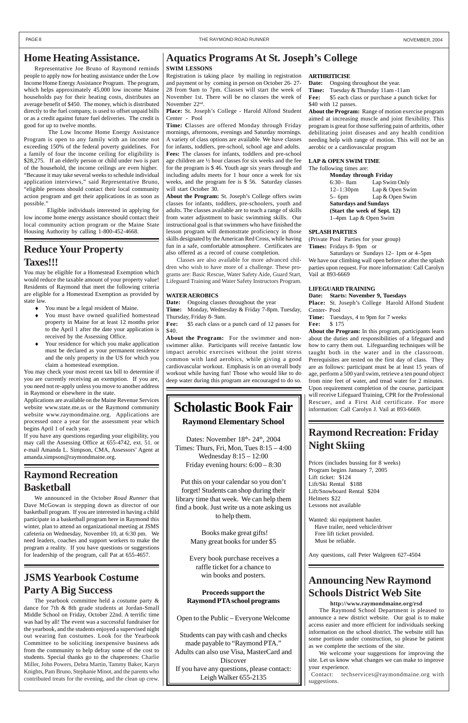## **Raymond Recreation Basketball**

We announced in the October *Road Runner* that Dave McGowan is stepping down as director of our basketball program. If you are interested in having a child participate in a basketball program here in Raymond this winter, plan to attend an organizational meeting at JSMS cafeteria on Wednesday, November 10, at 6:30 pm. We need leaders, coaches and support workers to make the program a reality. If you have questions or suggestions for leadership of the program, call Pat at 655-4657.

### **Raymond Recreation: Friday Night Skiing**

Prices (includes bussing for 8 weeks) Program begins January 7, 2005 Lift ticket: \$124 Lift/Ski Rental \$188 Lift/Snowboard Rental \$204 Helmets \$22 Lessons not available

Wanted: ski equipment hauler. Have trailer, need vehicle/driver

 Free lift ticket provided. Must be reliable.

Any questions, call Peter Walgreen 627-4504

#### **SWIM LESSONS**

Registration is taking place by mailing in registration and payment or by coming in person on October 26- 27- 28 from 9am to 7pm. Classes will start the week of November 1st. There will be no classes the week of November 22nd.

**Place:** St. Joseph's College - Harold Alfond Student Center - Pool

Fee:  $$5$  each class or a punch card of 12 passes for \$40.

**Time: C**lasses are offered Monday through Friday mornings, afternoons, evenings and Saturday mornings. A variety of class options are available. We have classes for infants, toddlers, pre-school, school age and adults. **Fees:** The classes for infants, toddlers and pre-school age children are ½ hour classes for six weeks and the fee for the program is \$ 46. Youth age six years through and including adults meets for 1 hour once a week for six weeks, and the program fee is \$ 56. Saturday classes will start October 30.

**Fee:** \$5 each class or purchase a punch ticket for \$40 with 12 passes.

**About the Program:** St. Joseph's College offers swim classes for infants, toddlers, pre-schoolers, youth and adults. The classes available are to teach a range of skills from water adjustment to basic swimming skills. Our instructional goal is that swimmers who have finished the lesson program will demonstrate proficiency in those skills designated by the American Red Cross, while having fun in a safe, comfortable atmosphere. Certificates are also offered as a record of course completion.

Classes are also available for more advanced children who wish to have more of a challenge. These programs are: Basic Rescue, Water Safety Aide, Guard Start, Lifeguard Training and Water Safety Instructors Program.

#### **WATER AEROBICS**

**Date:** Ongoing classes throughout the year

**Time:** Monday, Wednesday & Friday 7-8pm. Tuesday, Thursday, Friday 8- 9am.

**About the Program:** For the swimmer and nonswimmer alike. Participants will receive fantastic low impact aerobic exercises without the joint stress common with land aerobics, while giving a good cardiovascular workout. Emphasis is on an overall body workout while having fun! Those who would like to do deep water during this program are encouraged to do so.

#### **ARTHRITICISE**

**Date:** Ongoing throughout the year.

**Time:** Tuesday & Thursday 11am -11am

- You must be a legal resident of Maine.
- You must have owned qualified homestead property in Maine for at least 12 months prior to the April 1 after the date your application is received by the Assessing Office.
- Your residence for which you make application must be declared as your permanent residence and the only property in the US for which you claim a homestead exemption.

**About the Program:** Range of motion exercise program aimed at increasing muscle and joint flexibility. This program is great for those suffering pain of arthritis, other debilitating joint diseases and any health condition needing help with range of motion. This will not be an aerobic or a cardiovascular program

#### **LAP & OPEN SWIM TIME**

#### The following times are:

**Monday through Friday** 6:30– 8am Lap Swim Only 12–1:30pm Lap & Open Swim 5– 6pm Lap & Open Swim **Saturdays and Sundays (Start the week of Sept. 12)** 1–4pm Lap & Open Swim

#### **SPLASH PARTIES**

(Private Pool Parties for your group) **Times:** Fridays 8- 9pm or

Saturdays or Sundays 12– 1pm or 4–5pm We have our climbing wall open before or after the splash parties upon request. For more information: Call Carolyn Vail at 893-6669

#### **LIFEGUARD TRAINING**

**Date: Starts: November 9, Tuesdays**

**Place:** St. Joseph's College Harold Alfond Student Center- Pool

**Time:** Tuesdays, 4 to 9pm for 7 weeks

**Fee:** \$ 175

Dates: November 18th- 24th, 2004 Times: Thurs, Fri, Mon, Tues 8:15 – 4:00 Wednesday 8:15 – 12:00 Friday evening hours: 6:00 – 8:30

**About the Program:** In this program, participants learn about the duties and responsibilities of a lifeguard and how to carry them out. Lifeguarding techniques will be taught both in the water and in the classroom. Prerequisites are tested on the first day of class. They are as follows: participant must be at least 15 years of age, perform a 500 yard swim, retrieve a ten pound object from nine feet of water, and tread water for 2 minutes. Upon requirement completion of the course, participant will receive Lifeguard Training, CPR for the Professional Rescuer, and a First Aid certificate. For more information: Call Carolyn J. Vail at 893-6669.

### **Home Heating Assistance.**

Representative Joe Bruno of Raymond reminds people to apply now for heating assistance under the Low Income Home Energy Assistance Program. The program, which helps approximately 45,000 low income Maine households pay for their heating costs, distributes an average benefit of \$450. The money, which is distributed directly to the fuel company, is used to offset unpaid bills or as a credit against future fuel deliveries. The credit is good for up to twelve months.

 The Low Income Home Energy Assistance Program is open to any family with an income not exceeding 150% of the federal poverty guidelines. For a family of four the income ceiling for eligibility is \$28,275. If an elderly person or child under two is part of the household, the income ceilings are even higher. "Because it may take several weeks to schedule individual application interviews," said Representative Bruno, "eligible persons should contact their local community action program and get their applications in as soon as possible."

 Eligible individuals interested in applying for low income home energy assistance should contact their local community action program or the Maine State Housing Authority by calling 1-800-452-4668.

### **Reduce Your Property Taxes!!!**

You may be eligible for a Homestead Exemption which would reduce the taxable amount of your property value! Residents of Raymond that meet the following criteria are eligible for a Homestead Exemption as provided by state law.

You may check your most recent tax bill to determine if you are currently receiving an exemption. If you are, you need not re-apply unless you move to another address in Raymond or elsewhere in the state.

Applications are available on the Maine Revenue Services website www.state.me.us or the Raymond community website www.raymondmaine.org. Applications are processed once a year for the assessment year which begins April 1 of each year.

If you have any questions regarding your eligibility, you may call the Assessing Office at 655-4742, ext. 51. or e-mail Amanda L. Simpson, CMA, Assessors' Agent at amanda.simpson@raymondmaine.org.

### **Announcing New Raymond Schools District Web Site**

**http://www.raymondmaine.org/rsd** The Raymond School Department is pleased to announce a new district website. Our goal is to make access easier and more efficient for individuals seeking information on the school district. The website still has some portions under construction, so please be patient as we complete the sections of the site.

We welcome your suggestions for improving the site. Let us know what changes we can make to improve your experience.

 Contact: techservices@raymondmaine.org with suggestions.

## **JSMS Yearbook Costume Party A Big Success**

The yearbook committee held a costume party & dance for 7th & 8th grade students at Jordan-Small Middle School on Friday, October 22nd. A terrific time was had by all! The event was a successful fundraiser for the yearbook, and the students enjoyed a supervised night out wearing fun costumes. Look for the Yearbook Committee to be soliciting inexpensive business ads from the community to help defray some of the cost to students. Special thanks go to the chaperones: Charlie Miller, John Powers, Debra Martin, Tammy Baker, Karyn Knights, Pam Bruno, Stephanie Minot, and the parents who contributed treats for the evening, and the clean up crew.

### **Aquatics Programs At St. Joseph's College**

## **Scholastic Book Fair**

### **Raymond Elementary School**

Put this on your calendar so you don't forget! Students can shop during their library time that week. We can help them find a book. Just write us a note asking us to help them.

 Books make great gifts! Many great books for under \$5

 Every book purchase receives a raffle ticket for a chance to win books and posters.

### **Proceeds support the Raymond PTA school programs**

Open to the Public – Everyone Welcome

Students can pay with cash and checks made payable to "Raymond PTA." Adults can also use Visa, MasterCard and Discover If you have any questions, please contact: Leigh Walker 655-2135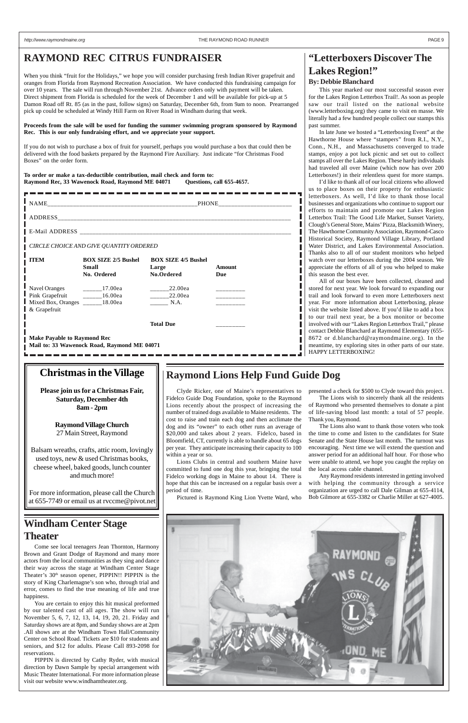### **RAYMOND REC CITRUS FUNDRAISER**

When you think "fruit for the Holidays," we hope you will consider purchasing fresh Indian River grapefruit and oranges from Florida from Raymond Recreation Association. We have conducted this fundraising campaign for over 10 years. The sale will run through November 21st. Advance orders only with payment will be taken. Direct shipment from Florida is scheduled for the week of December 1 and will be available for pick-up at 5 Damon Road off Rt. 85 (as in the past, follow signs) on Saturday, December 6th, from 9am to noon. Prearranged pick up could be scheduled at Windy Hill Farm on River Road in Windham during that week.

**Proceeds from the sale will be used for funding the summer swimming program sponsored by Raymond Rec. This is our only fundraising effort, and we appreciate your support.**

If you do not wish to purchase a box of fruit for yourself, perhaps you would purchase a box that could then be delivered with the food baskets prepared by the Raymond Fire Auxiliary. Just indicate "for Christmas Food Boxes" on the order form.

**To order or make a tax-deductible contribution, mail check and form to: Raymond Rec, 33 Wawenock Road, Raymond ME 04071 Questions, call 655-4657.**

|                                                                                                                            | CIRCLE CHOICE AND GIVE QUANTITY ORDERED                   |                                                   |                      |  |  |  |  |  |
|----------------------------------------------------------------------------------------------------------------------------|-----------------------------------------------------------|---------------------------------------------------|----------------------|--|--|--|--|--|
| <b>ITEM</b>                                                                                                                | <b>BOX SIZE 2/5 Bushel</b><br><b>Small</b><br>No. Ordered | <b>BOX SIZE 4/5 Bushel</b><br>Large<br>No.Ordered | <b>Amount</b><br>Due |  |  |  |  |  |
| Navel Oranges ___________17.00ea<br>Pink Grapefruit __________16.00ea<br>Mixed Box, Oranges _______18.00ea<br>& Grapefruit |                                                           | 22.00ea<br>22.00ea<br>N.A.                        |                      |  |  |  |  |  |
|                                                                                                                            |                                                           | <b>Total Due</b>                                  |                      |  |  |  |  |  |
| <b>Make Payable to Raymond Rec</b><br>Mail to: 33 Wawenock Road, Raymond ME 04071                                          |                                                           |                                                   |                      |  |  |  |  |  |

## **"Letterboxers Discover The Lakes Region!"**

### **By: Debbie Blanchard**

This year marked our most successful season ever for the Lakes Region Letterbox Trail!. As soon as people saw our trail listed on the national website (www.letterboxing.org) they came to visit en masse. We literally had a few hundred people collect our stamps this past summer.

In late June we hosted a "Letterboxing Event" at the Hawthorne House where "stampers" from R.I., N.Y., Conn., N.H., and Massachusetts converged to trade stamps, enjoy a pot luck picnic and set out to collect stamps all over the Lakes Region. These hardy individuals had traveled all over Maine (which now has over 200 Letterboxes!) in their relentless quest for more stamps.

I'd like to thank all of our local citizens who allowed us to place boxes on their property for enthusiastic letterboxers. As well, I'd like to thank those local businesses and organizations who continue to support our efforts to maintain and promote our Lakes Region Letterbox Trail: The Good Life Market, Sunset Variety, Clough's General Store, Mains' Pizza, Blacksmith Winery, The Hawthorne Community Association, Raymond-Casco Historical Society, Raymond Village Library, Portland Water District, and Lakes Environmental Association. Thanks also to all of our student monitors who helped watch over our letterboxes during the 2004 season. We appreciate the efforts of all of you who helped to make this season the best ever.

All of our boxes have been collected, cleaned and stored for next year. We look forward to expanding our trail and look forward to even more Letterboxers next year. For more information about Letterboxing, please visit the website listed above. If you'd like to add a box to our trail next year, be a box monitor or become involved with our "Lakes Region Letterbox Trail," please contact Debbie Blanchard at Raymond Elementary (655- 8672 or d.blanchard@raymondmaine.org). In the meantime, try exploring sites in other parts of our state. HAPPY LETTERBOXING!

Clyde Ricker, one of Maine's representatives to Fidelco Guide Dog Foundation, spoke to the Raymond Lions recently about the prospect of increasing the number of trained dogs available to Maine residents. The cost to raise and train each dog and then acclimate the dog and its "owner" to each other runs an average of \$20,000 and takes about 2 years. Fidelco, based in Bloomfield, CT, currently is able to handle about 65 dogs per year. They anticipate increasing their capacity to 100 within a year or so.

Lions Clubs in central and southern Maine have committed to fund one dog this year, bringing the total Fidelco working dogs in Maine to about 14. There is hope that this can be increased on a regular basis over a period of time.

Pictured is Raymond King Lion Yvette Ward, who

### **Raymond Lions Help Fund Guide Dog**

presented a check for \$500 to Clyde toward this project.

The Lions wish to sincerely thank all the residents of Raymond who presented themselves to donate a pint of life-saving blood last month: a total of 57 people. Thank you, Raymond.

The Lions also want to thank those voters who took the time to come and listen to the candidates for State Senate and the State House last month. The turnout was encouraging. Next time we will extend the question and answer period for an additional half hour. For those who were unable to attend, we hope you caught the replay on the local access cable channel.

Any Raymond residents interested in getting involved with helping the community through a service organization are urged to call Dale Gilman at 655-4114, Bob Gilmore at 655-3382 or Charlie Miller at 627-4005.

### **Windham Center Stage**

### **Theater**

Come see local teenagers Jean Thornton, Harmony Brown and Grant Dodge of Raymond and many more actors from the local communities as they sing and dance their way across the stage at Windham Center Stage Theater's 30<sup>th</sup> season opener, PIPPIN!! PIPPIN is the story of King Charlemagne's son who, through trial and error, comes to find the true meaning of life and true happiness.

You are certain to enjoy this hit musical preformed by our talented cast of all ages. The show will run November 5, 6, 7, 12, 13, 14, 19, 20, 21. Friday and Saturday shows are at 8pm, and Sunday shows are at 2pm .All shows are at the Windham Town Hall/Community Center on School Road. Tickets are \$10 for students and seniors, and \$12 for adults. Please Call 893-2098 for reservations.

PIPPIN is directed by Cathy Ryder, with musical direction by Dawn Sample by special arrangement with Music Theater International. For more information please visit our website www.windhamtheater.org.



### **Christmas in the Village**

**Please join us for a Christmas Fair, Saturday, December 4th 8am - 2pm**

> **Raymond Village Church** 27 Main Street, Raymond

Balsam wreaths, crafts, attic room, lovingly used toys, new & used Christmas books, cheese wheel, baked goods, lunch counter and much more!

For more information, please call the Church at 655-7749 or email us at rvccme@pivot.net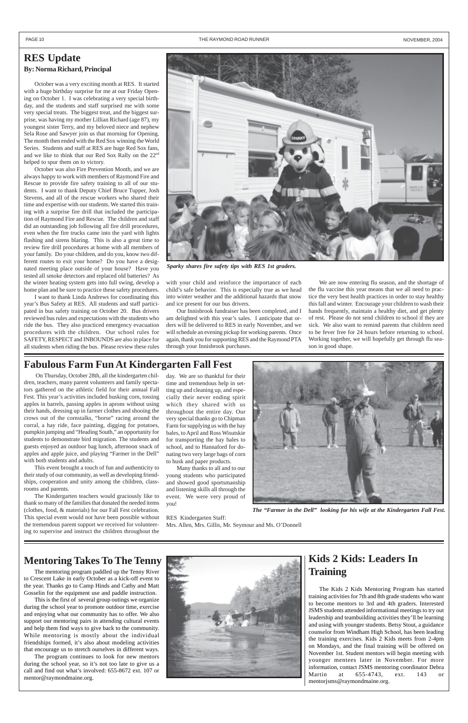## **Kids 2 Kids: Leaders In Training**

The Kids 2 Kids Mentoring Program has started training activities for 7th and 8th grade students who want to become mentors to 3rd and 4th graders. Interested JSMS students attended informational meetings to try out leadership and teambuilding activities they'll be learning and using with younger students. Betsy Stout, a guidance counselor from Windham High School, has been leading the training exercises. Kids 2 Kids meets from 2-4pm on Mondays, and the final training will be offered on November 1st. Student mentors will begin meeting with younger mentees later in November. For more information, contact JSMS mentoring coordinator Debra Martin at 655-4743, ext. 143 or mentorjsms@raymondmaine.org.

The mentoring program paddled up the Tenny River to Crescent Lake in early October as a kick-off event to the year. Thanks go to Camp Hinds and Cathy and Matt Gosselin for the equipment use and paddle instruction.

This is the first of several group outings we organize during the school year to promote outdoor time, exercise and enjoying what our community has to offer. We also support our mentoring pairs in attending cultural events and help them find ways to give back to the community. While mentoring is mostly about the individual friendships formed, it's also about modeling activities that encourage us to stretch ourselves in different ways.

The program continues to look for new mentors during the school year, so it's not too late to give us a call and find out what's involved: 655-8672 ext. 107 or mentor@raymondmaine.org.



 On Thursday, October 28th, all the kindergarten children, teachers, many parent volunteers and family spectators gathered on the athletic field for their annual Fall Fest. This year's activities included husking corn, tossing apples in barrels, passing apples in aprons without using their hands, dressing up in farmer clothes and shooing the crows out of the cornstalks, "horse" racing around the corral, a hay ride, face painting, digging for potatoes, pumpkin jumping and "Heading South," an opportunity for students to demonstrate bird migration. The students and guests enjoyed an outdoor bag lunch, afternoon snack of apples and apple juice, and playing "Farmer in the Dell" with both students and adults.

This event brought a touch of fun and authenticity to their study of our community, as well as developing friendships, cooperation and unity among the children, classrooms and parents.

The Kindergarten teachers would graciously like to thank so many of the families that donated the needed items (clothes, food, & materials) for our Fall Fest celebration. This special event would not have been possible without the tremendous parent support we received for volunteering to supervise and instruct the children throughout the

#### PAGE 10 **THE RAYMOND ROAD RUNNER NOVEMBER, 2004** THE RAYMOND ROAD RUNNER NOVEMBER, 2004

### **RES Update By: Norma Richard, Principal**

October was a very exciting month at RES. It started with a huge birthday surprise for me at our Friday Opening on October 1. I was celebrating a very special birthday, and the students and staff surprised me with some very special treats. The biggest treat, and the biggest surprise, was having my mother Lillian Richard (age 87), my youngest sister Terry, and my beloved niece and nephew Sela Rose and Sawyer join us that morning for Opening. The month then ended with the Red Sox winning the World Series. Students and staff at RES are huge Red Sox fans, and we like to think that our Red Sox Rally on the 22<sup>nd</sup> helped to spur them on to victory.

October was also Fire Prevention Month, and we are always happy to work with members of Raymond Fire and Rescue to provide fire safety training to all of our students. I want to thank Deputy Chief Bruce Tupper, Josh Stevens, and all of the rescue workers who shared their time and expertise with our students. We started this training with a surprise fire drill that included the participation of Raymond Fire and Rescue. The children and staff did an outstanding job following all fire drill procedures, even when the fire trucks came into the yard with lights flashing and sirens blaring. This is also a great time to review fire drill procedures at home with all members of your family. Do your children, and do you, know two different routes to exit your home? Do you have a designated meeting place outside of your house? Have you tested all smoke detectors and replaced old batteries? As the winter heating system gets into full swing, develop a home plan and be sure to practice these safety procedures.

I want to thank Linda Andrews for coordinating this year's Bus Safety at RES. All students and staff participated in bus safety training on October 20. Bus drivers reviewed bus rules and expectations with the students who ride the bus. They also practiced emergency evacuation procedures with the children. Our school rules for SAFETY, RESPECT and INBOUNDS are also in place for all students when riding the bus. Please review these rules

### **Fabulous Farm Fun At Kindergarten Fall Fest**

### **Mentoring Takes To The Tenny**

with your child and reinforce the importance of each child's safe behavior. This is especially true as we head into winter weather and the additional hazards that snow and ice present for our bus drivers.

Our Innisbrook fundraiser has been completed, and I am delighted with this year's sales. I anticipate that orders will be delivered to RES in early November, and we will schedule an evening pickup for working parents. Once again, thank you for supporting RES and the Raymond PTA through your Innisbrook purchases.

We are now entering flu season, and the shortage of the flu vaccine this year means that we all need to practice the very best health practices in order to stay healthy this fall and winter. Encourage your children to wash their hands frequently, maintain a healthy diet, and get plenty of rest. Please do not send children to school if they are sick. We also want to remind parents that children need to be fever free for 24 hours before returning to school. Working together, we will hopefully get through flu season in good shape.



*The "Farmer in the Dell" looking for his wife at the Kindergarten Fall Fest.*



*Sparky shares fire safety tips with RES 1st graders.*

day. We are so thankful for their time and tremendous help in setting up and cleaning up, and especially their never ending spirit which they shared with us throughout the entire day. Our very special thanks go to Chipman Farm for supplying us with the hay bales, to April and Ross Wisutskie for transporting the hay bales to school, and to Hannaford for donating two very large bags of corn to husk and paper products.

Many thanks to all and to our young students who participated and showed good sportsmanship and listening skills all through the event. We were very proud of you!

RES Kindergarten Staff:

Mrs. Allen, Mrs. Gillis, Mr. Seymour and Ms. O'Donnell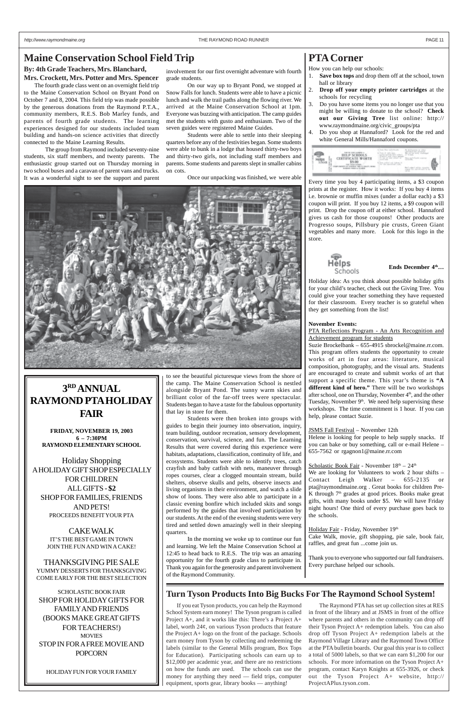**By: 4th Grade Teachers, Mrs. Blanchard, Mrs. Crockett, Mrs. Potter and Mrs. Spencer**

The fourth grade class went on an overnight field trip to the Maine Conservation School on Bryant Pond on October 7 and 8, 2004. This field trip was made possible by the generous donations from the Raymond P.T.A., community members, R.E.S. Bob Marley funds, and parents of fourth grade students. The learning experiences designed for our students included team building and hands-on science activities that directly connected to the Maine Learning Results.

The group from Raymond included seventy-nine students, six staff members, and twenty parents. The enthusiastic group started out on Thursday morning in two school buses and a caravan of parent vans and trucks. It was a wonderful sight to see the support and parent

### **PTA Corner**

How you can help our schools:

PTA Reflections Program - An Arts Recognition and Achievement program for students

- 1. **Save box tops** and drop them off at the school, town hall or library
- 2. **Drop off your empty printer cartridges** at the schools for recycling
- 3. Do you have some items you no longer use that you might be willing to donate to the school? **Check out our Giving Tree** list online: http:// www.raymondmaine.org/civic\_groups/pta
- Do you shop at Hannaford? Look for the red and white General Mills/Hannaford coupons.



Every time you buy 4 participating items, a \$3 coupon prints at the register. How it works: If you buy 4 items i.e. brownie or muffin mixes (under a dollar each) a \$3 coupon will print. If you buy 12 items, a \$9 coupon will print. Drop the coupon off at either school. Hannaford gives us cash for those coupons! Other products are Progresso soups, Pillsbury pie crusts, Green Giant vegetables and many more. Look for this logo in the store.



#### Ends December  $4^{\text{th}}...$

Holiday idea: As you think about possible holiday gifts for your child's teacher, check out the Giving Tree. You could give your teacher something they have requested for their classroom. Every teacher is so grateful when they get something from the list!

#### **November Events:**

Suzie Brockelbank – 655-4915 sbrockel@maine.rr.com. This program offers students the opportunity to create works of art in four areas: literature, musical composition, photography, and the visual arts. Students are encouraged to create and submit works of art that support a specific theme. This year's theme is **"A different kind of hero."** There will be two workshops after school, one on Thursday, November 4<sup>th</sup>, and the other Tuesday, November  $9<sup>th</sup>$ . We need help supervising these workshops. The time commitment is 1 hour. If you can help, please contact Suzie.

#### JSMS Fall Festival – November 12th

Helene is looking for people to help supply snacks. If you can bake or buy something, call or e-mail Helene – 655-7562 or rgagnon1@maine.rr.com

#### Scholastic Book Fair - November  $18<sup>th</sup> - 24<sup>th</sup>$

We are looking for Volunteers to work 2 hour shifts – Contact Leigh Walker – 655-2135 or pta@raymondmaine.org . Great books for children Pre-K through  $7<sup>th</sup>$  grades at good prices. Books make great gifts, with many books under \$5. We will have Friday night hours! One third of every purchase goes back to the schools.

Holiday Fair - Friday, November 19th

Cake Walk, movie, gift shopping, pie sale, book fair, raffles, and great fun ...come join us.

Thank you to everyone who supported our fall fundraisers. Every purchase helped our schools.

If you eat Tyson products, you can help the Raymond School System earn money! The Tyson program is called Project A+, and it works like this: There's a Project A+ label, worth 24¢, on various Tyson products that feature the Project A+ logo on the front of the package. Schools earn money from Tyson by collecting and redeeming the labels (similar to the General Mills program, Box Tops for Education). Participating schools can earn up to \$12,000 per academic year, and there are no restrictions on how the funds are used. The schools can use the money for anything they need — field trips, computer equipment, sports gear, library books — anything!

involvement for our first overnight adventure with fourth grade students.

On our way up to Bryant Pond, we stopped at Snow Falls for lunch. Students were able to have a picnic lunch and walk the trail paths along the flowing river. We arrived at the Maine Conservation School at 1pm. Everyone was buzzing with anticipation. The camp guides met the students with gusto and enthusiasm. Two of the seven guides were registered Maine Guides.

Students were able to settle into their sleeping quarters before any of the festivities began. Some students were able to bunk in a lodge that housed thirty-two boys and thirty-two girls, not including staff members and parents. Some students and parents slept in smaller cabins on cots.

Once our unpacking was finished, we were able

to see the beautiful picturesque views from the shore of the camp. The Maine Conservation School is nestled alongside Bryant Pond. The sunny warm skies and brilliant color of the far-off trees were spectacular. Students began to have a taste for the fabulous opportunity that lay in store for them.

Students were then broken into groups with guides to begin their journey into observation, inquiry, team building, outdoor recreation, sensory development, conservation, survival, science, and fun. The Learning Results that were covered during this experience were habitats, adaptations, classification, continuity of life, and ecosystems. Students were able to identify trees, catch crayfish and baby catfish with nets, maneuver through ropes courses, clear a clogged mountain stream, build shelters, observe skulls and pelts, observe insects and living organisms in their environment, and watch a slide show of loons. They were also able to participate in a classic evening bonfire which included skits and songs performed by the guides that involved participation by our students. At the end of the evening students were very tired and settled down amazingly well in their sleeping

quarters.

In the morning we woke up to continue our fun and learning. We left the Maine Conservation School at 12:45 to head back to R.E.S. The trip was an amazing opportunity for the fourth grade class to participate in. Thank you again for the generosity and parent involvement of the Raymond Community.

### **Maine Conservation School Field Trip**

### **Turn Tyson Products Into Big Bucks For The Raymond School System!**

The Raymond PTA has set up collection sites at RES in front of the library and at JSMS in front of the office where parents and others in the community can drop off their Tyson Project A+ redemption labels. You can also drop off Tyson Project A+ redemption labels at the Raymond Village Library and the Raymond Town Office at the PTA bulletin boards. Our goal this year is to collect a total of 5000 labels, so that we can earn \$1,200 for our schools. For more information on the Tyson Project A+ program, contact Karyn Knights at 655-3926, or check out the Tyson Project A+ website, http:// ProjectAPlus.tyson.com.

## **3RD ANNUAL RAYMOND PTA HOLIDAY FAIR**

**FRIDAY, NOVEMBER 19, 2003 6 – 7:30PM RAYMOND ELEMENTARY SCHOOL**

Holiday Shopping A HOLIDAY GIFT SHOP ESPECIALLY FOR CHILDREN ALL GIFTS - **\$2** SHOP FOR FAMILIES, FRIENDS AND PETS! PROCEEDS BENEFIT YOUR PTA

CAKE WALK

IT'S THE BEST GAME IN TOWN JOIN THE FUN AND WIN A CAKE!

### THANKSGIVING PIE SALE YUMMY DESSERTS FOR THANKSGIVING COME EARLY FOR THE BEST SELECTION

SCHOLASTIC BOOK FAIR SHOP FOR HOLIDAY GIFTS FOR FAMILY AND FRIENDS (BOOKS MAKE GREAT GIFTS FOR TEACHERS!) **MOVIES** STOP IN FOR A FREE MOVIE AND POPCORN

HOLIDAY FUN FOR YOUR FAMILY